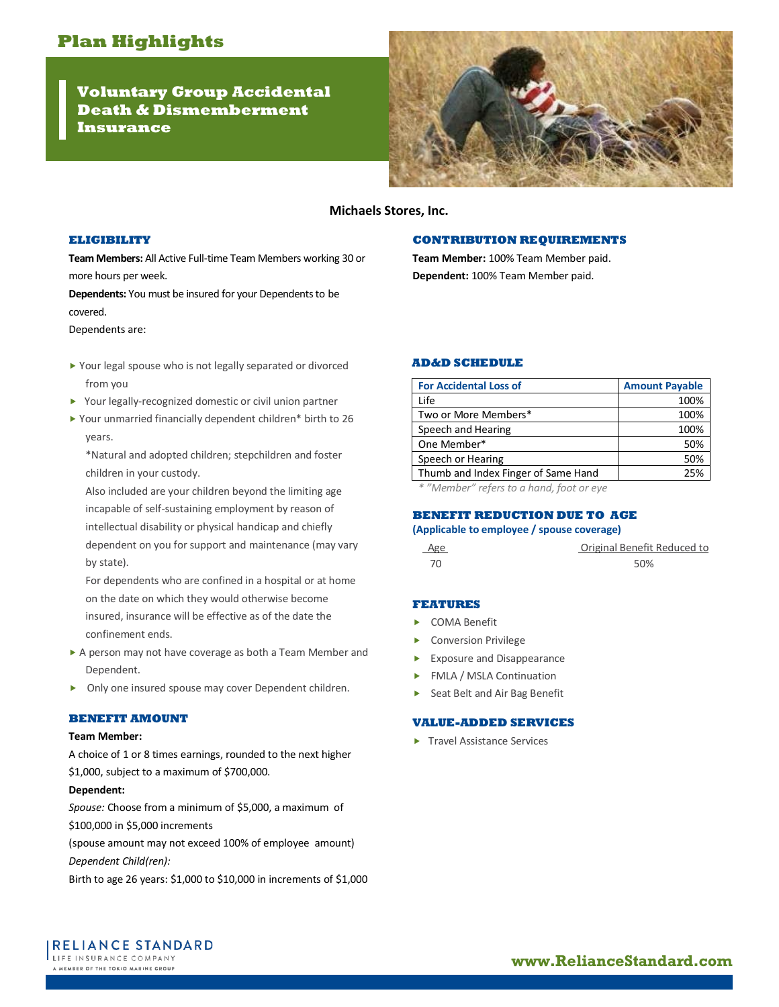**Voluntary Group Accidental Death & Dismemberment Insurance**



# **Michaels Stores, Inc.**

## **ELIGIBILITY**

**Team Members:** All Active Full-time Team Members working 30 or more hours per week.

**Dependents:** You must be insured for your Dependents to be covered.

Dependents are:

- ▶ Your legal spouse who is not legally separated or divorced from you
- ▶ Your legally-recognized domestic or civil union partner
- Your unmarried financially dependent children\* birth to 26 years.

\*Natural and adopted children; stepchildren and foster children in your custody.

Also included are your children beyond the limiting age incapable of self-sustaining employment by reason of intellectual disability or physical handicap and chiefly dependent on you for support and maintenance (may vary by state).

For dependents who are confined in a hospital or at home on the date on which they would otherwise become insured, insurance will be effective as of the date the confinement ends.

- A person may not have coverage as both a Team Member and Dependent.
- Only one insured spouse may cover Dependent children.

#### **BENEFIT AMOUNT**

### **Team Member:**

A choice of 1 or 8 times earnings, rounded to the next higher \$1,000, subject to a maximum of \$700,000.

#### **Dependent:**

*Spouse:* Choose from a minimum of \$5,000, a maximum of \$100,000 in \$5,000 increments

(spouse amount may not exceed 100% of employee amount) *Dependent Child(ren):*

Birth to age 26 years: \$1,000 to \$10,000 in increments of \$1,000

## **CONTRIBUTION REQUIREMENTS**

**Team Member:** 100% Team Member paid. **Dependent:** 100% Team Member paid.

**AD&D SCHEDULE**

| <b>For Accidental Loss of</b>       | <b>Amount Payable</b> |
|-------------------------------------|-----------------------|
| Life                                | 100%                  |
| Two or More Members*                | 100%                  |
| Speech and Hearing                  | 100%                  |
| One Member*                         | 50%                   |
| Speech or Hearing                   | 50%                   |
| Thumb and Index Finger of Same Hand | 25%                   |
|                                     |                       |

*\* "Member" refers to a hand, foot or eye*

### **BENEFIT REDUCTION DUE TO AGE**

## **(Applicable to employee / spouse coverage)**

| Age | Original Benefit Reduced to |
|-----|-----------------------------|
| 70  | 50%                         |

#### **FEATURES**

- COMA Benefit
- Conversion Privilege
- Exposure and Disappearance
- **FMLA / MSLA Continuation**
- ▶ Seat Belt and Air Bag Benefit

# **VALUE-ADDED SERVICES**

▶ Travel Assistance Services